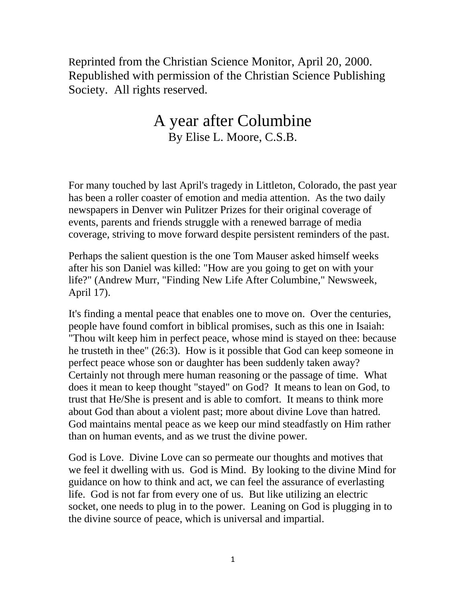Reprinted from the Christian Science Monitor, April 20, 2000. Republished with permission of the Christian Science Publishing Society. All rights reserved.

## A year after Columbine By Elise L. Moore, C.S.B.

For many touched by last April's tragedy in Littleton, Colorado, the past year has been a roller coaster of emotion and media attention. As the two daily newspapers in Denver win Pulitzer Prizes for their original coverage of events, parents and friends struggle with a renewed barrage of media coverage, striving to move forward despite persistent reminders of the past.

Perhaps the salient question is the one Tom Mauser asked himself weeks after his son Daniel was killed: "How are you going to get on with your life?" (Andrew Murr, "Finding New Life After Columbine," Newsweek, April 17).

It's finding a mental peace that enables one to move on. Over the centuries, people have found comfort in biblical promises, such as this one in Isaiah: "Thou wilt keep him in perfect peace, whose mind is stayed on thee: because he trusteth in thee" (26:3). How is it possible that God can keep someone in perfect peace whose son or daughter has been suddenly taken away? Certainly not through mere human reasoning or the passage of time. What does it mean to keep thought "stayed" on God? It means to lean on God, to trust that He/She is present and is able to comfort. It means to think more about God than about a violent past; more about divine Love than hatred. God maintains mental peace as we keep our mind steadfastly on Him rather than on human events, and as we trust the divine power.

God is Love. Divine Love can so permeate our thoughts and motives that we feel it dwelling with us. God is Mind. By looking to the divine Mind for guidance on how to think and act, we can feel the assurance of everlasting life. God is not far from every one of us. But like utilizing an electric socket, one needs to plug in to the power. Leaning on God is plugging in to the divine source of peace, which is universal and impartial.